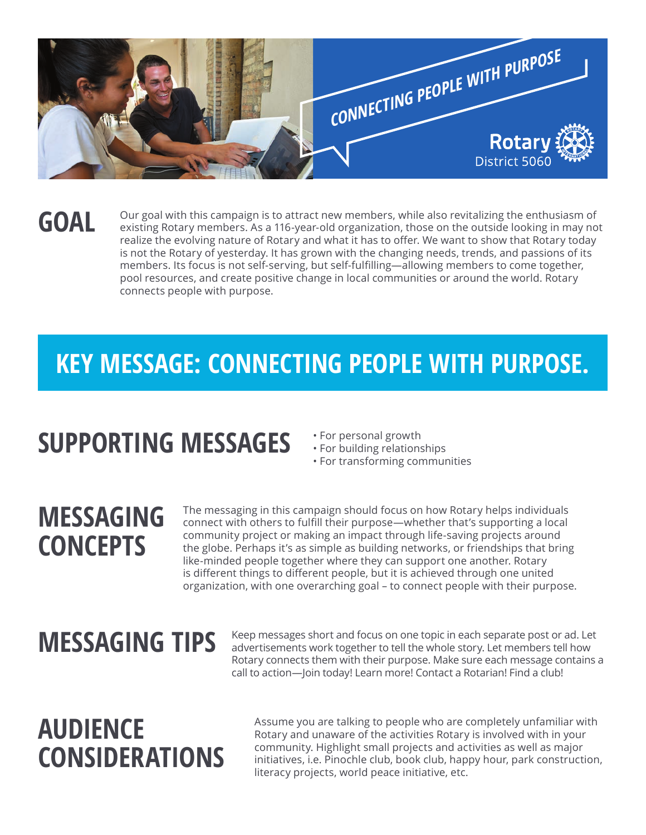

### **GOAL**

Our goal with this campaign is to attract new members, while also revitalizing the enthusiasm of existing Rotary members. As a 116-year-old organization, those on the outside looking in may not realize the evolving nature of Rotary and what it has to offer. We want to show that Rotary today is not the Rotary of yesterday. It has grown with the changing needs, trends, and passions of its members. Its focus is not self-serving, but self-fulfilling—allowing members to come together, pool resources, and create positive change in local communities or around the world. Rotary connects people with purpose.

### **KEY MESSAGE: CONNECTING PEOPLE WITH PURPOSE.**

# **SUPPORTING MESSAGES**

- For personal growth
- For building relationships
- For transforming communities

### **MESSAGING CONCEPTS**

The messaging in this campaign should focus on how Rotary helps individuals connect with others to fulfill their purpose—whether that's supporting a local community project or making an impact through life-saving projects around the globe. Perhaps it's as simple as building networks, or friendships that bring like-minded people together where they can support one another. Rotary is different things to different people, but it is achieved through one united organization, with one overarching goal – to connect people with their purpose.

# **MESSAGING TIPS**

Keep messages short and focus on one topic in each separate post or ad. Let advertisements work together to tell the whole story. Let members tell how Rotary connects them with their purpose. Make sure each message contains a call to action—Join today! Learn more! Contact a Rotarian! Find a club!

## **AUDIENCE CONSIDERATIONS**

Assume you are talking to people who are completely unfamiliar with Rotary and unaware of the activities Rotary is involved with in your community. Highlight small projects and activities as well as major initiatives, i.e. Pinochle club, book club, happy hour, park construction, literacy projects, world peace initiative, etc.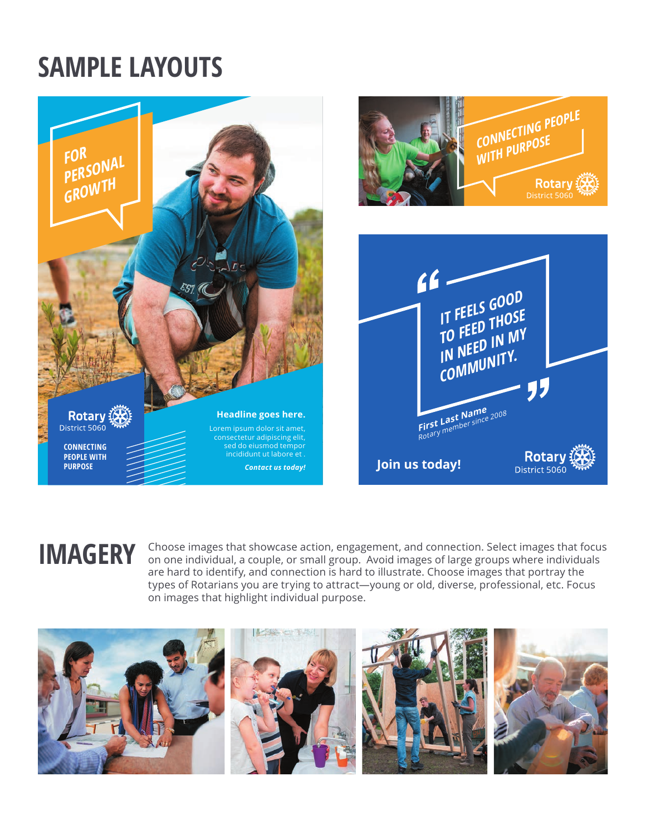## **SAMPLE LAYOUTS**





**IMAGERY** Choose images that showcase action, engagement, and connection. Select images that focus on one individual, a couple, or small group. Avoid images of large groups where individuals are hard to identify, and connection is hard to illustrate. Choose images that portray the types of Rotarians you are trying to attract—young or old, diverse, professional, etc. Focus on images that highlight individual purpose.

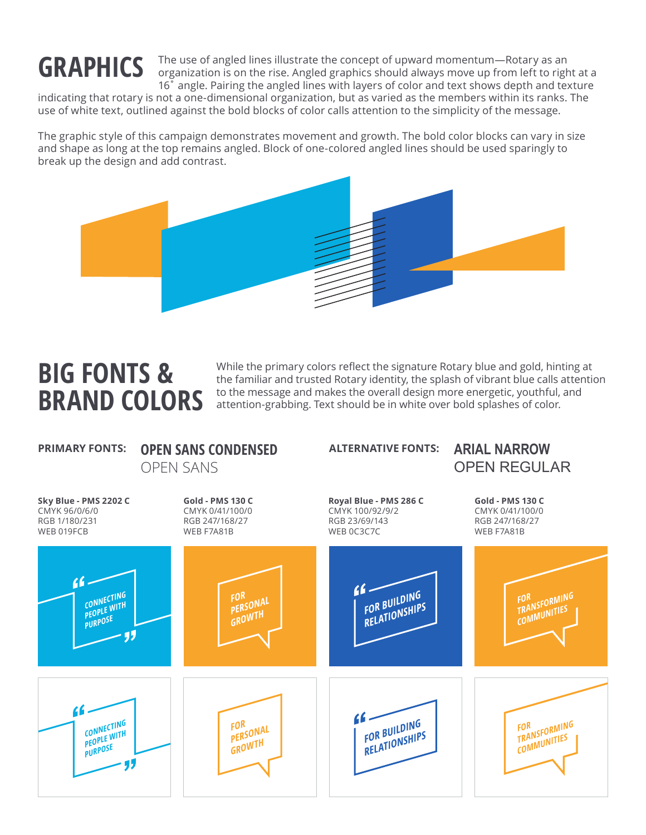# **GRAPHICS**

The use of angled lines illustrate the concept of upward momentum—Rotary as an organization is on the rise. Angled graphics should always move up from left to right at a 16˚ angle. Pairing the angled lines with layers of color and text shows depth and texture

indicating that rotary is not a one-dimensional organization, but as varied as the members within its ranks. The use of white text, outlined against the bold blocks of color calls attention to the simplicity of the message.

The graphic style of this campaign demonstrates movement and growth. The bold color blocks can vary in size and shape as long at the top remains angled. Block of one-colored angled lines should be used sparingly to break up the design and add contrast.



### **BIG FONTS & BRAND COLORS**

While the primary colors reflect the signature Rotary blue and gold, hinting at the familiar and trusted Rotary identity, the splash of vibrant blue calls attention to the message and makes the overall design more energetic, youthful, and attention-grabbing. Text should be in white over bold splashes of color.

### **OPEN SANS CONDENSED PRIMARY FONTS: ALTERNATIVE FONTS:**

### OPEN SANS

### **ARIAL NARROW** OPEN REGULAR

**Sky Blue - PMS 2202 C** CMYK 96/0/6/0 RGB 1/180/231 WEB 019FCB

**Gold - PMS 130 C** CMYK 0/41/100/0 RGB 247/168/27 WEB F7A81B

### **Royal Blue - PMS 286 C** CMYK 100/92/9/2 RGB 23/69/143 WEB 0C3C7C

**Gold - PMS 130 C** CMYK 0/41/100/0 RGB 247/168/27 WEB F7A81B

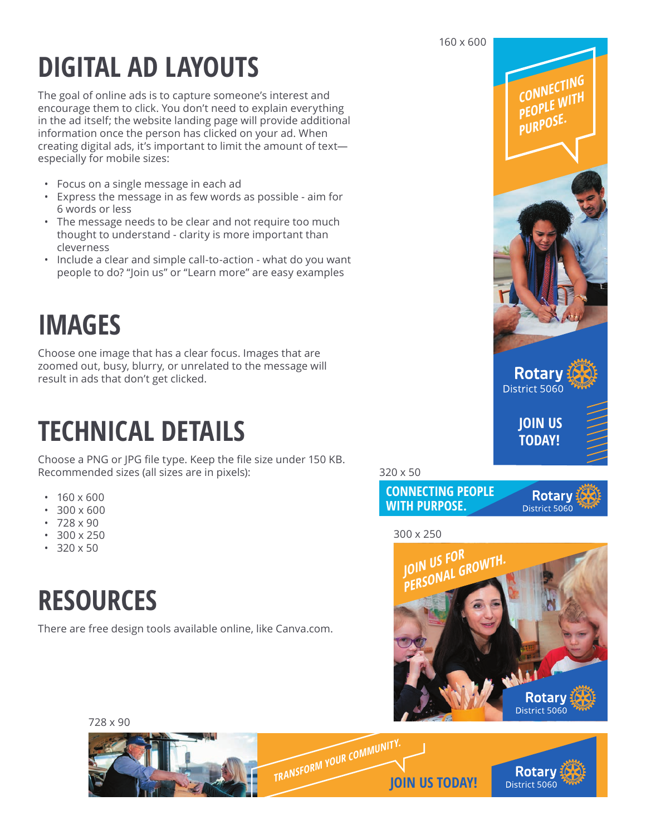# **DIGITAL AD LAYOUTS**

The goal of online ads is to capture someone's interest and encourage them to click. You don't need to explain everything in the ad itself; the website landing page will provide additional information once the person has clicked on your ad. When creating digital ads, it's important to limit the amount of text especially for mobile sizes:

- Focus on a single message in each ad
- Express the message in as few words as possible aim for 6 words or less
- The message needs to be clear and not require too much thought to understand - clarity is more important than cleverness
- Include a clear and simple call-to-action what do you want people to do? "Join us" or "Learn more" are easy examples

# **IMAGES**

Choose one image that has a clear focus. Images that are zoomed out, busy, blurry, or unrelated to the message will result in ads that don't get clicked.

# **TECHNICAL DETAILS**

Choose a PNG or JPG file type. Keep the file size under 150 KB. Recommended sizes (all sizes are in pixels):

- $\cdot$  160 x 600
- 300 x 600
- $728 \times 90$
- 300 x 250
- $320 \times 50$

## **RESOURCES**

There are free design tools available online, like Canva.com.







300 x 250



728 x 90